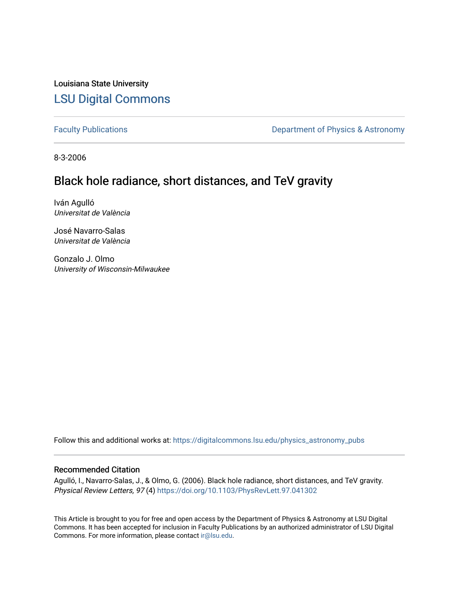Louisiana State University [LSU Digital Commons](https://digitalcommons.lsu.edu/)

[Faculty Publications](https://digitalcommons.lsu.edu/physics_astronomy_pubs) **Exercise 2** Constant Department of Physics & Astronomy

8-3-2006

## Black hole radiance, short distances, and TeV gravity

Iván Agulló Universitat de València

José Navarro-Salas Universitat de València

Gonzalo J. Olmo University of Wisconsin-Milwaukee

Follow this and additional works at: [https://digitalcommons.lsu.edu/physics\\_astronomy\\_pubs](https://digitalcommons.lsu.edu/physics_astronomy_pubs?utm_source=digitalcommons.lsu.edu%2Fphysics_astronomy_pubs%2F206&utm_medium=PDF&utm_campaign=PDFCoverPages) 

## Recommended Citation

Agulló, I., Navarro-Salas, J., & Olmo, G. (2006). Black hole radiance, short distances, and TeV gravity. Physical Review Letters, 97 (4) <https://doi.org/10.1103/PhysRevLett.97.041302>

This Article is brought to you for free and open access by the Department of Physics & Astronomy at LSU Digital Commons. It has been accepted for inclusion in Faculty Publications by an authorized administrator of LSU Digital Commons. For more information, please contact [ir@lsu.edu](mailto:ir@lsu.edu).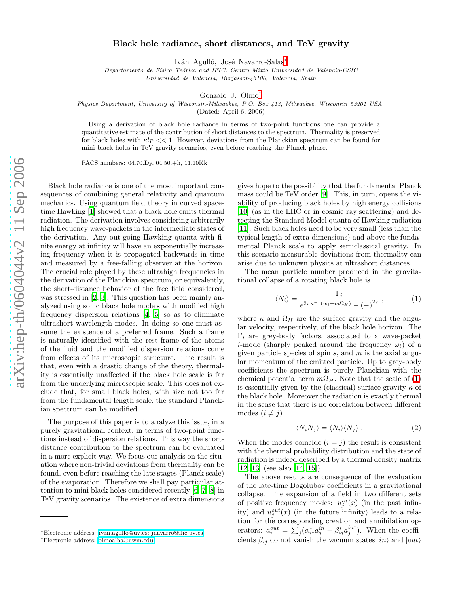## Black hole radiance, short distances, and TeV gravity

Iván Agulló, José Navarro-Salas\*

Departamento de Física Teórica and IFIC, Centro Mixto Universidad de Valencia-CSIC Universidad de Valencia, Burjassot-46100, Valencia, Spai n

Gonzalo J. Olmo [†](#page-1-1)

Physics Department, University of Wisconsin-Milwaukee, P.O. Box 413, Milwaukee, Wisconsin 53201 USA

(Dated: April 6, 2006)

Using a derivation of black hole radiance in terms of two-point functions one can provide a quantitative estimate of the contribution of short distances to the spectrum. Thermality is preserved for black holes with  $\kappa l_P << 1$ . However, deviations from the Planckian spectrum can be found for mini black holes in TeV gravity scenarios, even before reaching the Planck phase.

PACS numbers: 04.70.Dy, 04.50.+h, 11.10Kk

Black hole radiance is one of the most important consequences of combining general relativity and quantum mechanics. Using quantum field theory in curved spacetime Hawking [\[1\]](#page-4-0) showed that a black hole emits thermal radiation. The derivation involves considering arbitrarily high frequency wave-packets in the intermediate states of the derivation. Any out-going Hawking quanta with finite energy at infinity will have an exponentially increasing frequency when it is propagated backwards in time and measured by a free-falling observer at the horizon. The crucial role played by these ultrahigh frequencies in the derivation of the Planckian spectrum, or equivalently, the short-distance behavior of the free field considered, was stressed in [\[2](#page-4-1), [3\]](#page-4-2). This question has been mainly analyzed using sonic black hole models with modified high frequency dispersion relations [\[4](#page-4-3), [5](#page-4-4)] so as to eliminate ultrashort wavelength modes. In doing so one must assume the existence of a preferred frame. Such a frame is naturally identified with the rest frame of the atoms of the fluid and the modified dispersion relations come from effects of its microscopic structure. The result is that, even with a drastic change of the theory, thermality is essentially unaffected if the black hole scale is far from the underlying microscopic scale. This does not exclude that, for small black holes, with size not too far from the fundamental length scale, the standard Planckian spectrum can be modified.

The purpose of this paper is to analyze this issue, in a purely gravitational context, in terms of two-point functions instead of dispersion relations. This way the shortdistance contribution to the spectrum can be evaluated in a more explicit way. We focus our analysis on the situation where non-trivial deviations from thermality can be found, even before reaching the late stages (Planck scale) of the evaporation. Therefore we shall pay particular attention to mini black holes considered recently [\[6](#page-4-5), [7,](#page-4-6) [8](#page-4-7)] in TeV gravity scenarios. The existence of extra dimensions

gives hope to the possibility that the fundamental Planck mass could be TeV order [\[9](#page-4-8)]. This, in turn, opens the viability of producing black holes by high energy collisions [\[10\]](#page-4-9) (as in the LHC or in cosmic ray scattering) and detecting the Standard Model quanta of Hawking radiation [\[11\]](#page-4-10). Such black holes need to be very small (less than the typical length of extra dimensions) and above the fundamental Planck scale to apply semiclassical gravity. In this scenario measurable deviations from thermality can arise due to unknown physics at ultrashort distances.

The mean particle number produced in the gravitational collapse of a rotating black hole is

<span id="page-1-2"></span>
$$
\langle N_i \rangle = \frac{\Gamma_i}{e^{2\pi\kappa^{-1}(w_i - m\Omega_H)} - (-)^{2s}} , \qquad (1)
$$

where  $\kappa$  and  $\Omega_H$  are the surface gravity and the angular velocity, respectively, of the black hole horizon. The  $\Gamma_i$  are grey-body factors, associated to a wave-packet *i*-mode (sharply peaked around the frequency  $\omega_i$ ) of a given particle species of spin  $s$ , and  $m$  is the axial angular momentum of the emitted particle. Up to grey-body coefficients the spectrum is purely Planckian with the chemical potential term  $m\Omega_H$ . Note that the scale of [\(1\)](#page-1-2) is essentially given by the (classical) surface gravity  $\kappa$  of the black hole. Moreover the radiation is exactly thermal in the sense that there is no correlation between different modes  $(i \neq j)$ 

$$
\langle N_i N_j \rangle = \langle N_i \rangle \langle N_j \rangle . \tag{2}
$$

<span id="page-1-3"></span>When the modes coincide  $(i = j)$  the result is consistent with the thermal probability distribution and the state of radiation is indeed described by a thermal density matrix [\[12,](#page-4-11) [13\]](#page-4-12) (see also [\[14,](#page-4-13) [15\]](#page-4-14)).

The above results are consequence of the evaluation of the late-time Bogolubov coefficients in a gravitational collapse. The expansion of a field in two different sets of positive frequency modes:  $u_j^{in}(x)$  (in the past infinity) and  $u_j^{out}(x)$  (in the future infinity) leads to a relation for the corresponding creation and annihilation operators:  $a_i^{out} = \sum_j (\alpha_{ij}^* a_j^{in} - \beta_{ij}^* a_j^{in\dagger})$ . When the coefficients  $\beta_{ij}$  do not vanish the vacuum states  $|in\rangle$  and  $|out\rangle$ 

<span id="page-1-0"></span><sup>∗</sup>Electronic address: [ivan.agullo@uv.es; jnavarro@ific.uv.es](mailto:ivan.agullo@uv.es; jnavarro@ific.uv.es)

<span id="page-1-1"></span><sup>†</sup>Electronic address: [olmoalba@uwm.edu](mailto:olmoalba@uwm.edu)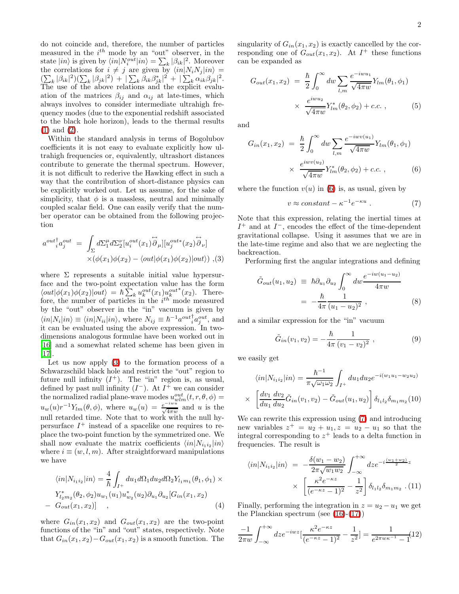do not coincide and, therefore, the number of particles measured in the  $i^{th}$  mode by an "out" observer, in the state  $|in\rangle$  is given by  $\langle in|N_i^{out}|in\rangle = \sum_k |\beta_{ik}|^2$ . Moreover the correlations for  $i \neq j$  are given by  $\langle in |N_iN_j|in \rangle =$  $\sum_{k} |\beta_{ik}|^2 (\sum_{k} |\beta_{jk}|^2) + |\sum_{k} \beta_{ik} \beta_{jk}^*|^2 + |\sum_{k} \alpha_{ik} \beta_{jk}|^2.$ The use of the above relations and the explicit evaluation of the matrices  $\beta_{ij}$  and  $\alpha_{ij}$  at late-times, which always involves to consider intermediate ultrahigh frequency modes (due to the exponential redshift associated to the black hole horizon), leads to the thermal results [\(1\)](#page-1-2) and [\(2\)](#page-1-3).

Within the standard analysis in terms of Bogolubov coefficients it is not easy to evaluate explicitly how ultrahigh frequencies or, equivalently, ultrashort distances contribute to generate the thermal spectrum. However, it is not difficult to rederive the Hawking effect in such a way that the contribution of short-distance physics can be explicitly worked out. Let us assume, for the sake of simplicity, that  $\phi$  is a massless, neutral and minimally coupled scalar field. One can easily verify that the number operator can be obtained from the following projection

<span id="page-2-0"></span>
$$
a^{out}{}_{i}^{\dagger} a_{j}^{out} = \int_{\Sigma} d\Sigma_{1}^{\mu} d\Sigma_{2}^{\nu} [u_{i}^{out}(x_{1}) \overset{\leftrightarrow}{\partial}_{\mu}][u_{j}^{out*}(x_{2}) \overset{\leftrightarrow}{\partial}_{\nu}]
$$
  
 
$$
\times (\phi(x_{1}) \phi(x_{2}) - \langle out|\phi(x_{1}) \phi(x_{2})|out\rangle) , (3)
$$

where  $\Sigma$  represents a suitable initial value hypersurface and the two-point expectation value has the form  $\langle out|\phi(x_1)\phi(x_2)|out \rangle = \hbar \sum_k u_k^{out}(x_1)u_k^{out^*}(x_2).$  Therefore, the number of particles in the  $i^{th}$  mode measured by the "out" observer in the "in" vacuum is given by  $\langle in|N_i|in\rangle \equiv \langle in|N_{ii}|in\rangle$ , where  $N_{ij} \equiv \hbar^{-1}a^{out}_{i}a^{out}_{j}$ , and it can be evaluated using the above expression. In twodimensions analogous formulae have been worked out in [\[16\]](#page-4-15) and a somewhat related scheme has been given in [\[17\]](#page-4-16).

Let us now apply [\(3\)](#page-2-0) to the formation process of a Schwarzschild black hole and restrict the "out" region to future null infinity  $(I^+)$ . The "in" region is, as usual, defined by past null infinity  $(I^-)$ . At  $I^+$  we can consider the normalized radial plane-wave modes  $u_{wlm}^{out}(t, r, \theta, \phi) =$  $u_w(u)r^{-1}Y_{lm}(\theta,\phi)$ , where  $u_w(u) = \frac{e^{-iw_u}}{\sqrt{4\pi w}}$  and u is the null retarded time. Note that to work with the null hypersurface  $I^+$  instead of a spacelike one requires to replace the two-point function by the symmetrized one. We shall now evaluate the matrix coefficients  $\langle in|N_{i_1i_2}|in\rangle$ where  $i \equiv (w, l, m)$ . After straightforward manipulations we have

<span id="page-2-3"></span>
$$
\langle in|N_{i_1i_2}|in\rangle = \frac{4}{\hbar} \int_{I^+} du_1 d\Omega_1 du_2 d\Omega_2 Y_{l_1m_1}(\theta_1, \phi_1) \times
$$
  

$$
Y_{l_2m_2}^*(\theta_2, \phi_2) u_{w_1}(u_1) u_{w_2}^*(u_2) \partial_{u_1} \partial_{u_2} [G_{in}(x_1, x_2)
$$
  

$$
- G_{out}(x_1, x_2)] ,
$$
 (4)

where  $G_{in}(x_1, x_2)$  and  $G_{out}(x_1, x_2)$  are the two-point functions of the "in" and "out" states, respectively. Note that  $G_{in}(x_1, x_2) - G_{out}(x_1, x_2)$  is a smooth function. The singularity of  $G_{in}(x_1, x_2)$  is exactly cancelled by the corresponding one of  $G_{out}(x_1, x_2)$ . At  $I^+$  these functions can be expanded as

$$
G_{out}(x_1, x_2) = \frac{\hbar}{2} \int_0^{\infty} dw \sum_{l,m} \frac{e^{-iwu_1}}{\sqrt{4\pi w}} Y_{lm}(\theta_1, \phi_1)
$$

$$
\times \frac{e^{iwu_2}}{\sqrt{4\pi w}} Y_{lm}^*(\theta_2, \phi_2) + c.c. , \qquad (5)
$$

<span id="page-2-1"></span>and

$$
G_{in}(x_1, x_2) = \frac{\hbar}{2} \int_0^{\infty} dw \sum_{l,m} \frac{e^{-i w v(u_1)}}{\sqrt{4 \pi w}} Y_{lm}(\theta_1, \phi_1)
$$

$$
\times \frac{e^{i w v(u_2)}}{\sqrt{4 \pi w}} Y_{lm}^*(\theta_2, \phi_2) + c.c. , \qquad (6)
$$

where the function  $v(u)$  in [\(6\)](#page-2-1) is, as usual, given by

<span id="page-2-2"></span>
$$
v \approx constant - \kappa^{-1} e^{-\kappa u} . \tag{7}
$$

Note that this expression, relating the inertial times at  $I^+$  and at  $I^-$ , encodes the effect of the time-dependent gravitational collapse. Using it assumes that we are in the late-time regime and also that we are neglecting the backreaction.

<span id="page-2-5"></span>Performing first the angular integrations and defining

$$
\tilde{G}_{out}(u_1, u_2) \equiv \hbar \partial_{u_1} \partial_{u_2} \int_0^\infty dw \frac{e^{-iw(u_1 - u_2)}}{4\pi w}
$$
\n
$$
= -\frac{\hbar}{4\pi} \frac{1}{(u_1 - u_2)^2}, \qquad (8)
$$

<span id="page-2-6"></span>and a similar expression for the "in" vacuum

$$
\tilde{G}_{in}(v_1, v_2) = -\frac{\hbar}{4\pi} \frac{1}{(v_1 - v_2)^2} , \qquad (9)
$$

<span id="page-2-7"></span>we easily get

 $\rightarrow$ 

$$
\langle in|N_{i_1i_2}|in\rangle = \frac{\hbar^{-1}}{\pi\sqrt{\omega_1\omega_2}} \int_{I^+} du_1 du_2 e^{-i(w_1u_1 - w_2u_2)}
$$
  

$$
\langle \left[\frac{dv_1}{du_1}\frac{dv_2}{du_2}\tilde{G}_{in}(v_1, v_2) - \tilde{G}_{out}(u_1, u_2)\right] \delta_{l_1l_2}\delta_{m_1m_2}(10)
$$

We can rewrite this expression using [\(7\)](#page-2-2) and introducing new variables  $z^+ = u_2 + u_1, z = u_2 - u_1$  so that the integral corresponding to  $z^+$  leads to a delta function in frequencies. The result is

$$
\langle in|N_{i_1i_2}|in\rangle = -\frac{\delta(w_1 - w_2)}{2\pi\sqrt{w_1w_2}} \int_{-\infty}^{+\infty} dz e^{-i\frac{(w_1 + w_2)}{2}z} \times \left[ \frac{\kappa^2 e^{-\kappa z}}{(e^{-\kappa z} - 1)^2} - \frac{1}{z^2} \right] \delta_{l_1l_2} \delta_{m_1m_2} \tag{11}
$$

Finally, performing the integration in  $z = u_2 - u_1$  we get the Planckian spectrum (see [\(16\)](#page-3-0)-[\(17\)](#page-3-1))

<span id="page-2-4"></span>
$$
\frac{-1}{2\pi w} \int_{-\infty}^{+\infty} dz e^{-iwx} \left[ \frac{\kappa^2 e^{-\kappa z}}{(e^{-\kappa z} - 1)^2} - \frac{1}{z^2} \right] = \frac{1}{e^{2\pi w \kappa^{-1}} - 1} (12)
$$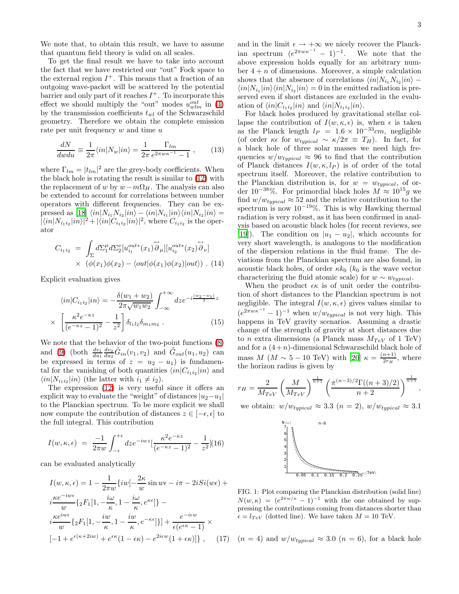We note that, to obtain this result, we have to assume that quantum field theory is valid on all scales.

To get the final result we have to take into account the fact that we have restricted our "out" Fock space to the external region  $I^+$ . This means that a fraction of an outgoing wave-packet will be scattered by the potential barrier and only part of it reaches  $I^+$ . To incorporate this effect we should multiply the "out" modes  $u_{wlm}^{out}$  in [\(4\)](#page-2-3) by the transmission coefficients  $t_{wl}$  of the Schwarzschild geometry. Therefore we obtain the complete emission rate per unit frequency  $w$  and time  $u$ 

$$
\frac{dN}{dwdu} \equiv \frac{1}{2\pi} \langle in|N_w|in\rangle = \frac{1}{2\pi} \frac{\Gamma_{lm}}{e^{2\pi w\kappa^{-1}} - 1} ,\qquad(13)
$$

where  $\Gamma_{lm} = |t_{lm}|^2$  are the grey-body coefficients. When the black hole is rotating the result is similar to [\(12\)](#page-2-4) with the replacement of w by  $w - m\Omega_H$ . The analysis can also be extended to account for correlations between number operators with different frequencies. They can be expressed as  $[18]$   $\langle in|N_{i_1}N_{i_2}|in\rangle - \langle in|N_{i_1}|in\rangle \langle in|N_{i_2}|in\rangle =$  $|\langle in|N_{i_1i_2}|in\rangle|^2 + |\langle in|C_{i_1i_2}|in\rangle|^2$ , where  $C_{i_1i_2}$  is the operator

$$
C_{i_1 i_2} = \int_{\Sigma} d\Sigma_1^{\mu} d\Sigma_2^{\nu} [u_{i_1}^{out*}(x_1) \overrightarrow{\partial}_{\mu}] [u_{i_2}^{out*}(x_2) \overrightarrow{\partial}_{\nu}]
$$
  
 
$$
\times (\phi(x_1)\phi(x_2) - \langle out|\phi(x_1)\phi(x_2)|out\rangle) . (14)
$$

Explicit evaluation gives

$$
\langle in|C_{i_1i_2}|in\rangle = -\frac{\delta(w_1+w_2)}{2\pi\sqrt{w_1w_2}} \int_{-\infty}^{+\infty} dz e^{-i\frac{(w_2-w_1)}{2}z} \times \left[\frac{\kappa^2 e^{-\kappa z}}{(e^{-\kappa z}-1)^2} - \frac{1}{z^2}\right] \delta_{l_1l_2}\delta_{m_1m_2} .
$$
 (15)

We note that the behavior of the two-point functions [\(8\)](#page-2-5) and [\(9\)](#page-2-6) (both  $\frac{dv_1}{du_1}\frac{dv_2}{du_2}\tilde{G}_{in}(v_1, v_2)$  and  $\tilde{G}_{out}(u_1, u_2)$  can be expressed in terms of  $z = u_2 - u_1$  is fundamental for the vanishing of both quantities  $\langle in|C_{i_1i_2}|in\rangle$  and  $\langle in | N_{i_1 i_2} | in \rangle$  (the latter with  $i_1 \neq i_2$ ).

The expression [\(12\)](#page-2-4) is very useful since it offers an explicit way to evaluate the "weight" of distances  $|u_2-u_1|$ to the Planckian spectrum. To be more explicit we shall now compute the contribution of distances  $z \in [-\epsilon, \epsilon]$  to the full integral. This contribution

$$
I(w,\kappa,\epsilon) = \frac{-1}{2\pi w} \int_{-\epsilon}^{+\epsilon} dz e^{-iwz} \left[ \frac{\kappa^2 e^{-\kappa z}}{(e^{-\kappa z} - 1)^2} - \frac{1}{z^2} \right] (16)
$$

<span id="page-3-1"></span><span id="page-3-0"></span>can be evaluated analytically

$$
I(w, \kappa, \epsilon) = 1 - \frac{1}{2\pi w} \{ iw[-\frac{2\kappa}{w} \sin w\epsilon - i\pi - 2iSi(w\epsilon) + i\frac{\kappa e^{-iw\epsilon}}{w} \{ _2F_1[1, -\frac{i\omega}{\kappa}, 1 - \frac{i\omega}{\kappa}, e^{\kappa\epsilon}] \} - i\frac{\kappa e^{iw\epsilon}}{w} \{ _2F_1[1, -\frac{iw}{\kappa}, 1 - \frac{iw}{\kappa}, e^{-\kappa\epsilon}] \} ] + \frac{e^{-i\epsilon w}}{\epsilon(e^{\epsilon\kappa} - 1)} \times [-1 + e^{\epsilon(\kappa + 2iw)} + e^{\epsilon\kappa}(1 - \epsilon\kappa) - e^{2i\epsilon w}(1 + \epsilon\kappa)] \} , \quad (17)
$$

and in the limit  $\epsilon \to +\infty$  we nicely recover the Planckian spectrum  $(e^{2\pi w\kappa^{-1}}-1)^{-1}$ . We note that the above expression holds equally for an arbitrary number  $4 + n$  of dimensions. Moreover, a simple calculation shows that the absence of correlations  $\langle in | N_{i_1} N_{i_2} | in \rangle$  –  $\langle in|N_{i_1}|in\rangle\langle in|N_{i_2}|in\rangle = 0$  in the emitted radiation is preserved even if short distances are excluded in the evaluation of  $\langle in|C_{i_1i_2}|in\rangle$  and  $\langle in|N_{i_1i_2}|in\rangle$ .

For black holes produced by gravitational stellar collapse the contribution of  $I(w, \kappa, \epsilon)$  is, when  $\epsilon$  is taken as the Planck length  $l_P = 1.6 \times 10^{-33}$ cm, negligible (of order  $\kappa \epsilon$  for  $w_{typical} \sim \kappa/2\pi \equiv T_H$ ). In fact, for a black hole of three solar masses we need high frequencies  $w/w_{typical} \approx 96$  to find that the contribution of Planck distances  $I(w, \kappa, l_P)$  is of order of the total spectrum itself. Moreover, the relative contribution to the Planckian distribution is, for  $w = w_{typical}$ , of order 10<sup>-38</sup>%. For primordial black holes  $M \approx 10^{15}g$  we find  $w/w_{typical} \approx 52$  and the relative contribution to the spectrum is now  $10^{-19}\%$ . This is why Hawking thermal radiation is very robust, as it has been confirmed in analysis based on acoustic black holes (for recent reviews, see [\[19\]](#page-4-18)). The condition on  $|u_1 - u_2|$ , which accounts for very short wavelength, is analogous to the modification of the dispersion relations in the fluid frame. The deviations from the Planckian spectrum are also found, in acoustic black holes, of order  $\kappa k_0$  ( $k_0$  is the wave vector characterizing the fluid atomic scale) for  $w \sim w_{twical}$ .

When the product  $\epsilon \kappa$  is of unit order the contribution of short distances to the Planckian spectrum is not negligible. The integral  $I(w, \kappa, \epsilon)$  gives values similar to  $(e^{2\pi w\kappa^{-1}}-1)^{-1}$  when  $w/w_{typical}$  is not very high. This happens in TeV gravity scenarios. Assuming a drastic change of the strength of gravity at short distances due to *n* extra dimensions (a Planck mass  $M_{TeV}$  of 1 TeV) and for a  $(4+n)$ -dimensional Schwarzschild black hole of mass  $M$  ( $M \sim 5-10$  TeV) with [\[20](#page-4-19)]  $\kappa = \frac{(n+1)}{2r_H}$  $\frac{n+1}{2r_H}$ , where the horizon radius is given by

$$
r_H = \frac{2}{M_{TeV}} \left(\frac{M}{M_{TeV}}\right)^{\frac{1}{n+1}} \left(\frac{\pi^{(n-3)/2} \Gamma((n+3)/2)}{n+2}\right)^{\frac{1}{n+1}},
$$

we obtain:  $w/w_{typical} \approx 3.3$   $(n = 2)$ ,  $w/w_{typical} \approx 3.1$ 



FIG. 1: Plot comparing the Planckian distribution (solid line)  $N(w,\kappa) = (e^{2\pi w/\kappa} - 1)^{-1}$  with the one obtained by suppressing the contributions coming from distances shorter than  $\epsilon = l_{TeV}$  (dotted line). We have taken  $M = 10$  TeV.

(n = 4) and  $w/w_{typical} \approx 3.0$  (n = 6), for a black hole